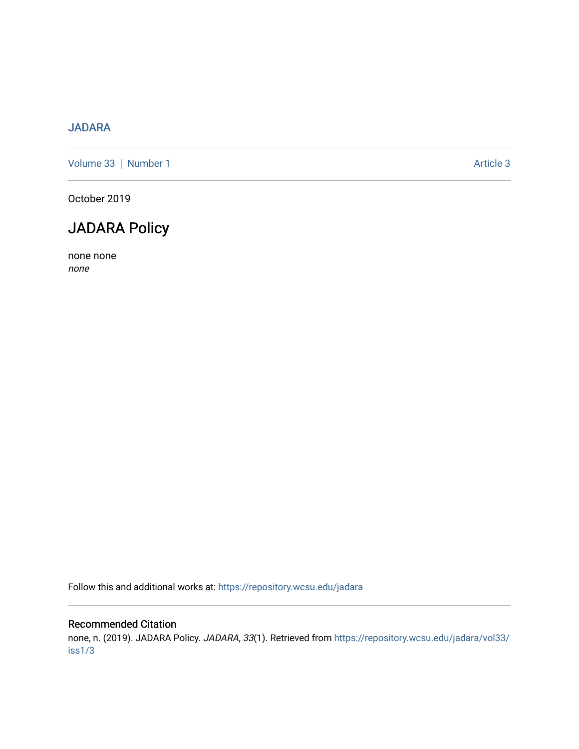## [JADARA](https://repository.wcsu.edu/jadara)

[Volume 33](https://repository.wcsu.edu/jadara/vol33) | [Number 1](https://repository.wcsu.edu/jadara/vol33/iss1) Article 3

October 2019

## JADARA Policy

none none none

Follow this and additional works at: [https://repository.wcsu.edu/jadara](https://repository.wcsu.edu/jadara?utm_source=repository.wcsu.edu%2Fjadara%2Fvol33%2Fiss1%2F3&utm_medium=PDF&utm_campaign=PDFCoverPages)

#### Recommended Citation

none, n. (2019). JADARA Policy. JADARA, 33(1). Retrieved from [https://repository.wcsu.edu/jadara/vol33/](https://repository.wcsu.edu/jadara/vol33/iss1/3?utm_source=repository.wcsu.edu%2Fjadara%2Fvol33%2Fiss1%2F3&utm_medium=PDF&utm_campaign=PDFCoverPages) [iss1/3](https://repository.wcsu.edu/jadara/vol33/iss1/3?utm_source=repository.wcsu.edu%2Fjadara%2Fvol33%2Fiss1%2F3&utm_medium=PDF&utm_campaign=PDFCoverPages)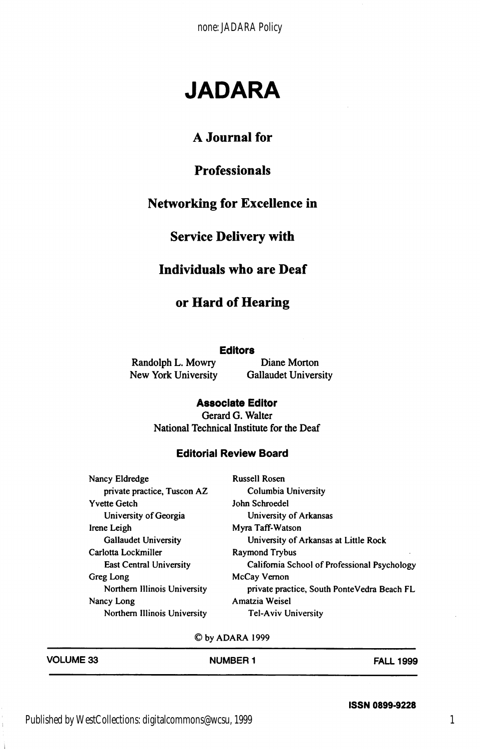# JADARA

### A Journal for

## Professionals

#### Networking for Excellence in

## Service Delivery with

#### Individuals who are Deaf

### or Hard of Hearing

#### **Editors**

Randolph L. Mowry Diane Morton<br>New York University Gallaudet University New York University

#### Associate Editor Gerard G. Walter

National Technical Institute for the Deaf

#### Editorial Review Board

| Nancy Eldredge               | <b>Russell Rosen</b>                         |  |
|------------------------------|----------------------------------------------|--|
| private practice, Tuscon AZ  | Columbia University                          |  |
| <b>Yvette Getch</b>          | John Schroedel                               |  |
| University of Georgia        | University of Arkansas                       |  |
| Irene Leigh                  | Myra Taff-Watson                             |  |
| <b>Gallaudet University</b>  | University of Arkansas at Little Rock        |  |
| Carlotta Lockmiller          | Raymond Trybus                               |  |
| East Central University      | California School of Professional Psychology |  |
| Greg Long                    | McCay Vernon                                 |  |
| Northern Illinois University | private practice, South PonteVedra Beach FL  |  |
| Nancy Long                   | Amatzia Weisel                               |  |
| Northern Illinois University | <b>Tel-Aviv University</b>                   |  |

©byADARA 1999

| <b>VOLUME 33</b> | <b>NUMBER 1</b> | <b>FALL 1999</b> |
|------------------|-----------------|------------------|
|                  |                 |                  |